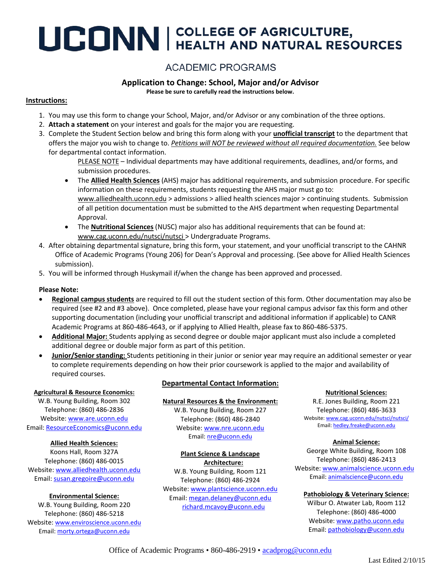# UCONN | COLLEGE OF AGRICULTURE,

## **ACADEMIC PROGRAMS**

### **Application to Change: School, Major and/or Advisor**

**Please be sure to carefully read the instructions below.**

#### **Instructions:**

- 1. You may use this form to change your School, Major, and/or Advisor or any combination of the three options.
- 2. **Attach a statement** on your interest and goals for the major you are requesting.
- 3. Complete the Student Section below and bring this form along with your **unofficial transcript** to the department that offers the major you wish to change to. *Petitions will NOT be reviewed without all required documentation.* See below for departmental contact information.
	- PLEASE NOTE Individual departments may have additional requirements, deadlines, and/or forms, and submission procedures.
	- The **Allied Health Sciences** (AHS) major has additional requirements, and submission procedure. For specific information on these requirements, students requesting the AHS major must go to: [www.alliedhealth.uconn.edu](http://www.alliedhealth.uconn.edu/) > admissions > allied health sciences major > continuing students. Submission of all petition documentation must be submitted to the AHS department when requesting Departmental Approval.
	- The **Nutritional Sciences** (NUSC) major also has additional requirements that can be found at: [www.cag.uconn.edu/nutsci/nutsci](http://www.cag.uconn.edu/nutsci/nutsci) > Undergraduate Programs.
- 4. After obtaining departmental signature, bring this form, your statement, and your unofficial transcript to the CAHNR Office of Academic Programs (Young 206) for Dean's Approval and processing. (See above for Allied Health Sciences submission).
- 5. You will be informed through Huskymail if/when the change has been approved and processed.

#### **Please Note:**

- **Regional campus students** are required to fill out the student section of this form. Other documentation may also be required (see #2 and #3 above). Once completed, please have your regional campus advisor fax this form and other supporting documentation (including your unofficial transcript and additional information if applicable) to CANR Academic Programs at 860-486-4643, or if applying to Allied Health, please fax to 860-486-5375.
- **Additional Major:** Students applying as second degree or double major applicant must also include a completed additional degree or double major form as part of this petition.
- **Junior/Senior standing:** Students petitioning in their junior or senior year may require an additional semester or year to complete requirements depending on how their prior coursework is applied to the major and availability of required courses.

#### **Agricultural & Resource Economics:**

W.B. Young Building, Room 302 Telephone: (860) 486-2836 Website: [www.are.uconn.edu](http://www.are.uconn.edu/) Email: [ResourceEconomics@uconn.edu](mailto:ResourceEconomics@uconn.edu)

#### **Allied Health Sciences:**

Koons Hall, Room 327A Telephone: (860) 486-0015 Website[: www.alliedhealth.uconn.edu](http://www.alliedhealth.uconn.edu/) Email[: susan.gregoire@uconn.edu](mailto:susan.gregoire@uconn.edu)

#### **Environmental Science:**

W.B. Young Building, Room 220 Telephone: (860) 486-5218

Website[: www.enviroscience.uconn.edu](http://www.enviroscience.uconn.edu/) Email[: morty.ortega@uconn.edu](mailto:morty.ortega@uconn.edu)

#### **Departmental Contact Information:**

#### **Natural Resources & the Environment:**

W.B. Young Building, Room 227 Telephone: (860) 486-2840 Website[: www.nre.uconn.edu](http://www.nre.uconn.edu/) Email[: nre@uconn.edu](mailto:nre@uconn.edu)

#### **Plant Science & Landscape Architecture:**

W.B. Young Building, Room 121 Telephone: (860) 486-2924

Website: [www.plantscience.uconn.edu](http://www.plantscience.uconn.edu/) Email: [megan.delaney@uconn.edu](mailto:megan.delaney@uconn.edu) [richard.mcavoy@uconn.edu](mailto:richard.mcavoy@uconn.edu)

#### **Nutritional Sciences:**

R.E. Jones Building, Room 221 Telephone: (860) 486-3633 Website: [www.cag.uconn.edu/nutsci/nutsci/](http://www.cag.uconn.edu/nutsci/nutsci/) Email[: hedley.freake@uconn.edu](mailto:hedley.freake@uconn.edu)

**Animal Science:**

George White Building, Room 108 Telephone: (860) 486-2413

Website: [www.animalscience.uconn.edu](http://www.animalscience.uconn.edu/) Email: [animalscience@uconn.edu](mailto:animalscience@uconn.edu)

#### **Pathobiology & Veterinary Science:**

Wilbur O. Atwater Lab, Room 112 Telephone: (860) 486-4000 Website[: www.patho.uconn.edu](http://www.patho.uconn.edu/) Email[: pathobiology@uconn.edu](mailto:pathobiology@uconn.edu)